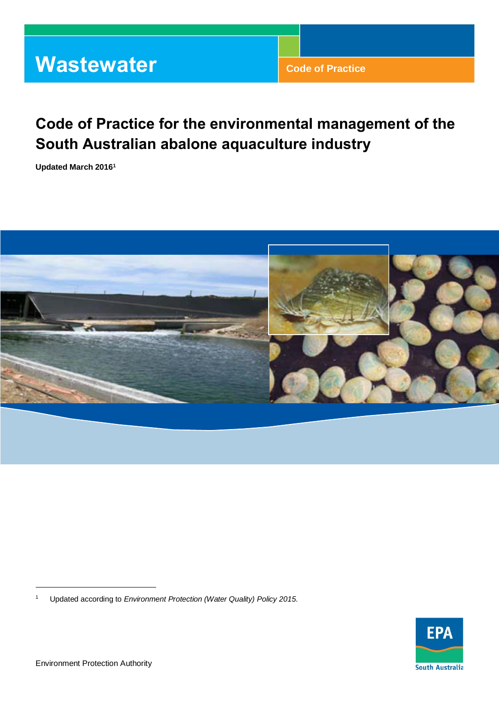# **Wastewater Code of Practice**

# **Code of Practice for the environmental management of the South Australian abalone aquaculture industry**

**Updated March 2016 1**



<sup>1</sup> Updated according to *Environment Protection (Water Quality) Policy 2015.*



l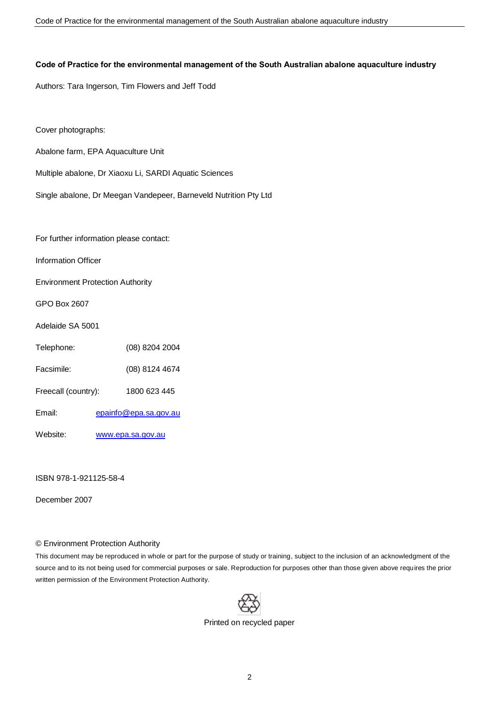#### **Code of Practice for the environmental management of the South Australian abalone aquaculture industry**

Authors: Tara Ingerson, Tim Flowers and Jeff Todd

Cover photographs:

- Abalone farm, EPA Aquaculture Unit
- Multiple abalone, Dr Xiaoxu Li, SARDI Aquatic Sciences
- Single abalone, Dr Meegan Vandepeer, Barneveld Nutrition Pty Ltd

For further information please contact:

Information Officer

Environment Protection Authority

GPO Box 2607

Adelaide SA 5001

- Telephone: (08) 8204 2004
- Facsimile: (08) 8124 4674
- Freecall (country): 1800 623 445
- Email: [epainfo@epa.sa.gov.au](mailto:epainfo@epa.sa.gov.au)
- Website: www.epa.sa.gov.au

ISBN 978-1-921125-58-4

December 2007

#### © Environment Protection Authority

This document may be reproduced in whole or part for the purpose of study or training, subject to the inclusion of an acknowledgment of the source and to its not being used for commercial purposes or sale. Reproduction for purposes other than those given above requires the prior written permission of the Environment Protection Authority.



Printed on recycled paper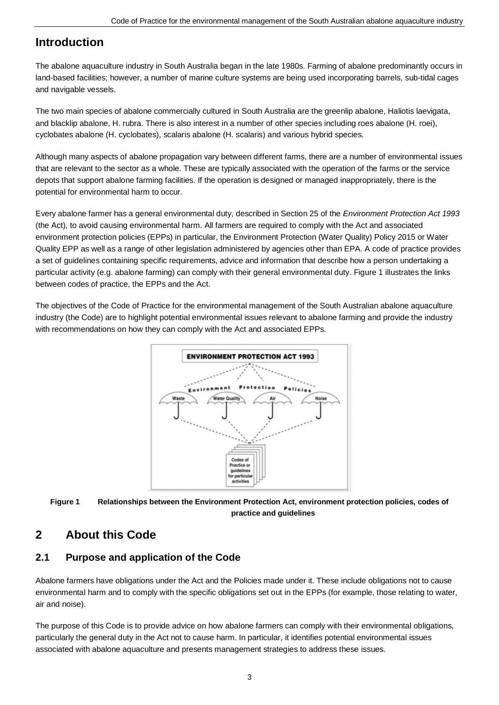# **Introduction**

The abalone aquaculture industry in South Australia began in the late 1980s. Farming of abalone predominantly occurs in land-based facilities; however, a number of marine culture systems are being used incorporating barrels, sub-tidal cages and navigable vessels.

The two main species of abalone commercially cultured in South Australia are the greenlip abalone, Haliotis laevigata, and blacklip abalone, H. rubra. There is also interest in a number of other species including roes abalone (H. roei), cyclobates abalone (H. cyclobates), scalaris abalone (H. scalaris) and various hybrid species.

Although many aspects of abalone propagation vary between different farms, there are a number of environmental issues that are relevant to the sector as a whole. These are typically associated with the operation of the farms or the service depots that support abalone farming facilities. If the operation is designed or managed inappropriately, there is the potential for environmental harm to occur.

Every abalone farmer has a general environmental duty, described in Section 25 of the *Environment Protection Act 1993* (the Act), to avoid causing environmental harm. All farmers are required to comply with the Act and associated environment protection policies (EPPs) in particular, the Environment Protection (Water Quality) Policy 2015 or Water Quality EPP as well as a range of other legislation administered by agencies other than EPA. A code of practice provides a set of guidelines containing specific requirements, advice and information that describe how a person undertaking a particular activity (e.g. abalone farming) can comply with their general environmental duty. Figure 1 illustrates the links between codes of practice, the EPPs and the Act.

The objectives of the Code of Practice for the environmental management of the South Australian abalone aquaculture industry (the Code) are to highlight potential environmental issues relevant to abalone farming and provide the industry with recommendations on how they can comply with the Act and associated EPPs.





# **2 About this Code**

### **2.1 Purpose and application of the Code**

Abalone farmers have obligations under the Act and the Policies made under it. These include obligations not to cause environmental harm and to comply with the specific obligations set out in the EPPs (for example, those relating to water, air and noise).

The purpose of this Code is to provide advice on how abalone farmers can comply with their environmental obligations, particularly the general duty in the Act not to cause harm. In particular, it identifies potential environmental issues associated with abalone aquaculture and presents management strategies to address these issues.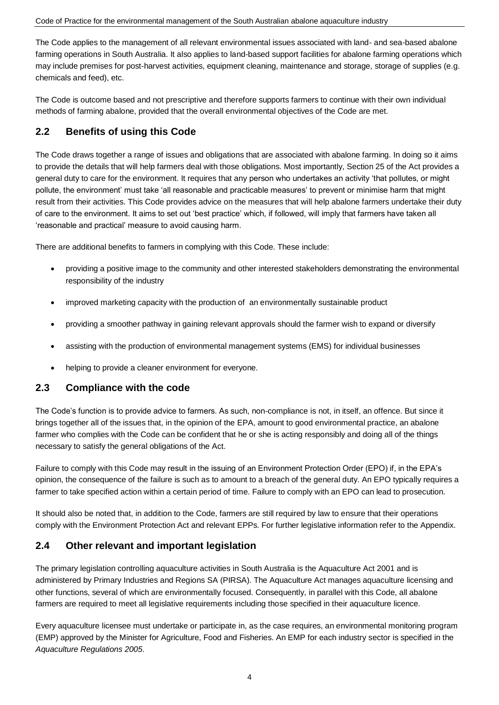The Code applies to the management of all relevant environmental issues associated with land- and sea-based abalone farming operations in South Australia. It also applies to land-based support facilities for abalone farming operations which may include premises for post-harvest activities, equipment cleaning, maintenance and storage, storage of supplies (e.g. chemicals and feed), etc.

The Code is outcome based and not prescriptive and therefore supports farmers to continue with their own individual methods of farming abalone, provided that the overall environmental objectives of the Code are met.

### **2.2 Benefits of using this Code**

The Code draws together a range of issues and obligations that are associated with abalone farming. In doing so it aims to provide the details that will help farmers deal with those obligations. Most importantly, Section 25 of the Act provides a general duty to care for the environment. It requires that any person who undertakes an activity 'that pollutes, or might pollute, the environment' must take 'all reasonable and practicable measures' to prevent or minimise harm that might result from their activities. This Code provides advice on the measures that will help abalone farmers undertake their duty of care to the environment. It aims to set out 'best practice' which, if followed, will imply that farmers have taken all 'reasonable and practical' measure to avoid causing harm.

There are additional benefits to farmers in complying with this Code. These include:

- providing a positive image to the community and other interested stakeholders demonstrating the environmental responsibility of the industry
- improved marketing capacity with the production of an environmentally sustainable product
- providing a smoother pathway in gaining relevant approvals should the farmer wish to expand or diversify
- assisting with the production of environmental management systems (EMS) for individual businesses
- helping to provide a cleaner environment for everyone.

### **2.3 Compliance with the code**

The Code's function is to provide advice to farmers. As such, non-compliance is not, in itself, an offence. But since it brings together all of the issues that, in the opinion of the EPA, amount to good environmental practice, an abalone farmer who complies with the Code can be confident that he or she is acting responsibly and doing all of the things necessary to satisfy the general obligations of the Act.

Failure to comply with this Code may result in the issuing of an Environment Protection Order (EPO) if, in the EPA's opinion, the consequence of the failure is such as to amount to a breach of the general duty. An EPO typically requires a farmer to take specified action within a certain period of time. Failure to comply with an EPO can lead to prosecution.

It should also be noted that, in addition to the Code, farmers are still required by law to ensure that their operations comply with the Environment Protection Act and relevant EPPs. For further legislative information refer to the Appendix.

### **2.4 Other relevant and important legislation**

The primary legislation controlling aquaculture activities in South Australia is the Aquaculture Act 2001 and is administered by Primary Industries and Regions SA (PIRSA). The Aquaculture Act manages aquaculture licensing and other functions, several of which are environmentally focused. Consequently, in parallel with this Code, all abalone farmers are required to meet all legislative requirements including those specified in their aquaculture licence.

Every aquaculture licensee must undertake or participate in, as the case requires, an environmental monitoring program (EMP) approved by the Minister for Agriculture, Food and Fisheries. An EMP for each industry sector is specified in the *Aquaculture Regulations 2005*.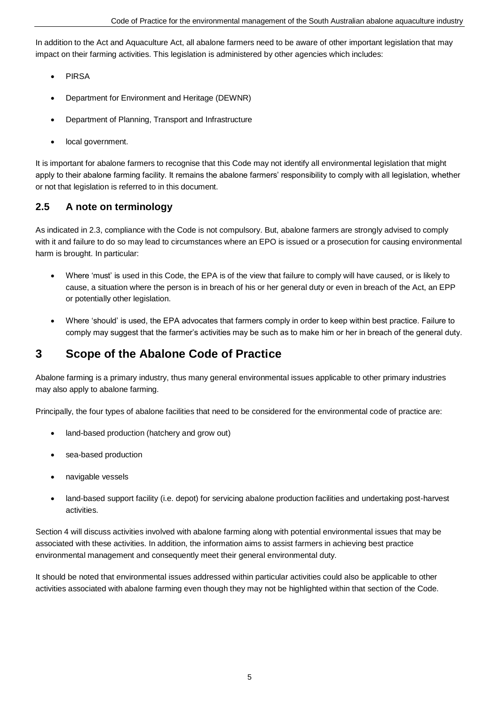In addition to the Act and Aquaculture Act, all abalone farmers need to be aware of other important legislation that may impact on their farming activities. This legislation is administered by other agencies which includes:

- PIRSA
- Department for Environment and Heritage (DEWNR)
- Department of Planning, Transport and Infrastructure
- local government.

It is important for abalone farmers to recognise that this Code may not identify all environmental legislation that might apply to their abalone farming facility. It remains the abalone farmers' responsibility to comply with all legislation, whether or not that legislation is referred to in this document.

### **2.5 A note on terminology**

As indicated in 2.3, compliance with the Code is not compulsory. But, abalone farmers are strongly advised to comply with it and failure to do so may lead to circumstances where an EPO is issued or a prosecution for causing environmental harm is brought. In particular:

- Where 'must' is used in this Code, the EPA is of the view that failure to comply will have caused, or is likely to cause, a situation where the person is in breach of his or her general duty or even in breach of the Act, an EPP or potentially other legislation.
- Where 'should' is used, the EPA advocates that farmers comply in order to keep within best practice. Failure to comply may suggest that the farmer's activities may be such as to make him or her in breach of the general duty.

# **3 Scope of the Abalone Code of Practice**

Abalone farming is a primary industry, thus many general environmental issues applicable to other primary industries may also apply to abalone farming.

Principally, the four types of abalone facilities that need to be considered for the environmental code of practice are:

- land-based production (hatchery and grow out)
- sea-based production
- navigable vessels
- land-based support facility (i.e. depot) for servicing abalone production facilities and undertaking post-harvest activities.

Section 4 will discuss activities involved with abalone farming along with potential environmental issues that may be associated with these activities. In addition, the information aims to assist farmers in achieving best practice environmental management and consequently meet their general environmental duty.

It should be noted that environmental issues addressed within particular activities could also be applicable to other activities associated with abalone farming even though they may not be highlighted within that section of the Code.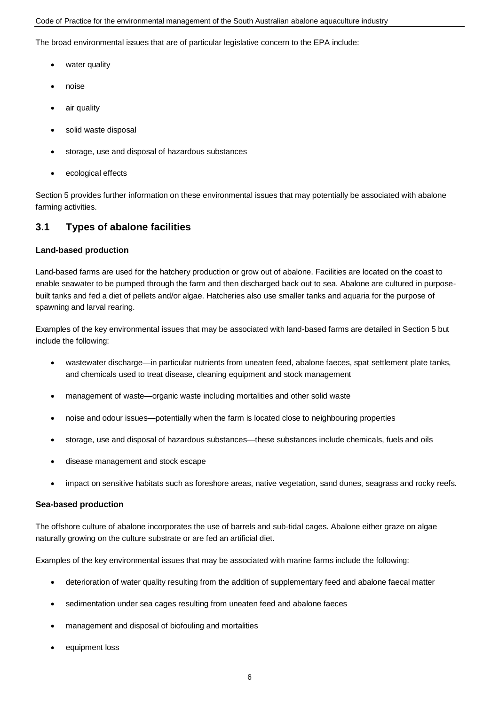The broad environmental issues that are of particular legislative concern to the EPA include:

- water quality
- noise
- air quality
- solid waste disposal
- storage, use and disposal of hazardous substances
- ecological effects

Section 5 provides further information on these environmental issues that may potentially be associated with abalone farming activities.

### **3.1 Types of abalone facilities**

#### **Land-based production**

Land-based farms are used for the hatchery production or grow out of abalone. Facilities are located on the coast to enable seawater to be pumped through the farm and then discharged back out to sea. Abalone are cultured in purposebuilt tanks and fed a diet of pellets and/or algae. Hatcheries also use smaller tanks and aquaria for the purpose of spawning and larval rearing.

Examples of the key environmental issues that may be associated with land-based farms are detailed in Section 5 but include the following:

- wastewater discharge—in particular nutrients from uneaten feed, abalone faeces, spat settlement plate tanks, and chemicals used to treat disease, cleaning equipment and stock management
- management of waste—organic waste including mortalities and other solid waste
- noise and odour issues—potentially when the farm is located close to neighbouring properties
- storage, use and disposal of hazardous substances—these substances include chemicals, fuels and oils
- disease management and stock escape
- impact on sensitive habitats such as foreshore areas, native vegetation, sand dunes, seagrass and rocky reefs.

#### **Sea-based production**

The offshore culture of abalone incorporates the use of barrels and sub-tidal cages. Abalone either graze on algae naturally growing on the culture substrate or are fed an artificial diet.

Examples of the key environmental issues that may be associated with marine farms include the following:

- deterioration of water quality resulting from the addition of supplementary feed and abalone faecal matter
- sedimentation under sea cages resulting from uneaten feed and abalone faeces
- management and disposal of biofouling and mortalities
- equipment loss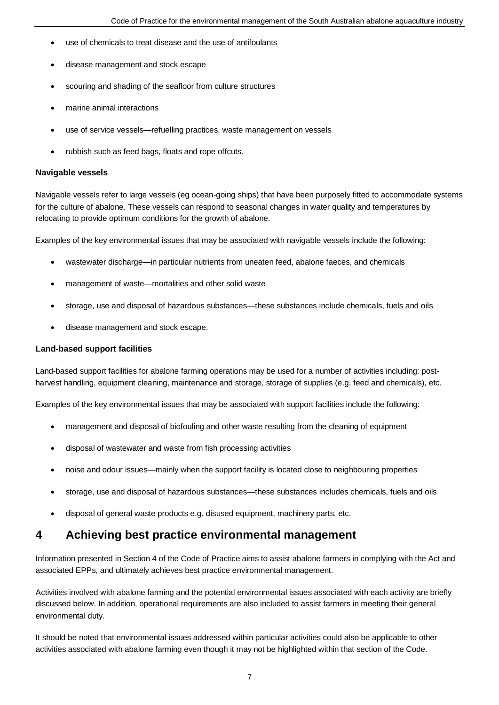- use of chemicals to treat disease and the use of antifoulants
- disease management and stock escape
- scouring and shading of the seafloor from culture structures
- marine animal interactions
- use of service vessels—refuelling practices, waste management on vessels
- rubbish such as feed bags, floats and rope offcuts.

#### **Navigable vessels**

Navigable vessels refer to large vessels (eg ocean-going ships) that have been purposely fitted to accommodate systems for the culture of abalone. These vessels can respond to seasonal changes in water quality and temperatures by relocating to provide optimum conditions for the growth of abalone.

Examples of the key environmental issues that may be associated with navigable vessels include the following:

- wastewater discharge—in particular nutrients from uneaten feed, abalone faeces, and chemicals
- management of waste—mortalities and other solid waste
- storage, use and disposal of hazardous substances—these substances include chemicals, fuels and oils
- disease management and stock escape.

#### **Land-based support facilities**

Land-based support facilities for abalone farming operations may be used for a number of activities including: postharvest handling, equipment cleaning, maintenance and storage, storage of supplies (e.g. feed and chemicals), etc.

Examples of the key environmental issues that may be associated with support facilities include the following:

- management and disposal of biofouling and other waste resulting from the cleaning of equipment
- disposal of wastewater and waste from fish processing activities
- noise and odour issues—mainly when the support facility is located close to neighbouring properties
- storage, use and disposal of hazardous substances—these substances includes chemicals, fuels and oils
- disposal of general waste products e.g. disused equipment, machinery parts, etc.

### **4 Achieving best practice environmental management**

Information presented in Section 4 of the Code of Practice aims to assist abalone farmers in complying with the Act and associated EPPs, and ultimately achieves best practice environmental management.

Activities involved with abalone farming and the potential environmental issues associated with each activity are briefly discussed below. In addition, operational requirements are also included to assist farmers in meeting their general environmental duty.

It should be noted that environmental issues addressed within particular activities could also be applicable to other activities associated with abalone farming even though it may not be highlighted within that section of the Code.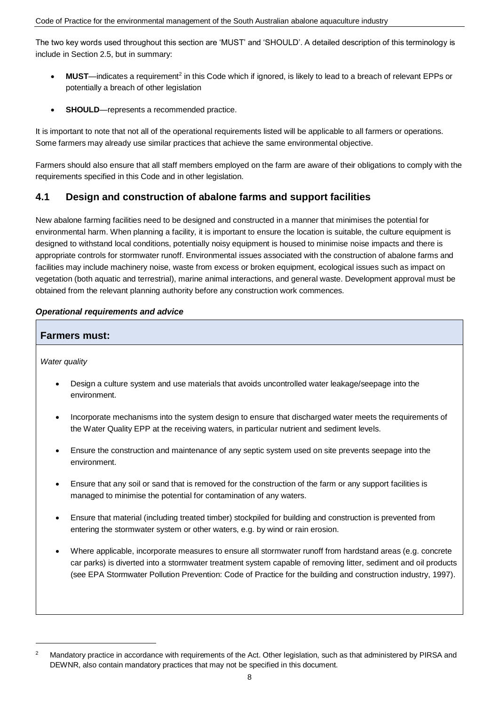The two key words used throughout this section are 'MUST' and 'SHOULD'. A detailed description of this terminology is include in Section 2.5, but in summary:

- MUST—indicates a requirement<sup>2</sup> in this Code which if ignored, is likely to lead to a breach of relevant EPPs or potentially a breach of other legislation
- **SHOULD**—represents a recommended practice.

It is important to note that not all of the operational requirements listed will be applicable to all farmers or operations. Some farmers may already use similar practices that achieve the same environmental objective.

Farmers should also ensure that all staff members employed on the farm are aware of their obligations to comply with the requirements specified in this Code and in other legislation.

### **4.1 Design and construction of abalone farms and support facilities**

New abalone farming facilities need to be designed and constructed in a manner that minimises the potential for environmental harm. When planning a facility, it is important to ensure the location is suitable, the culture equipment is designed to withstand local conditions, potentially noisy equipment is housed to minimise noise impacts and there is appropriate controls for stormwater runoff. Environmental issues associated with the construction of abalone farms and facilities may include machinery noise, waste from excess or broken equipment, ecological issues such as impact on vegetation (both aquatic and terrestrial), marine animal interactions, and general waste. Development approval must be obtained from the relevant planning authority before any construction work commences.

### *Operational requirements and advice*

### **Farmers must:**

*Water quality*

 $\overline{a}$ 

- Design a culture system and use materials that avoids uncontrolled water leakage/seepage into the environment.
- Incorporate mechanisms into the system design to ensure that discharged water meets the requirements of the Water Quality EPP at the receiving waters, in particular nutrient and sediment levels.
- Ensure the construction and maintenance of any septic system used on site prevents seepage into the environment.
- Ensure that any soil or sand that is removed for the construction of the farm or any support facilities is managed to minimise the potential for contamination of any waters.
- Ensure that material (including treated timber) stockpiled for building and construction is prevented from entering the stormwater system or other waters, e.g. by wind or rain erosion.
- Where applicable, incorporate measures to ensure all stormwater runoff from hardstand areas (e.g. concrete car parks) is diverted into a stormwater treatment system capable of removing litter, sediment and oil products (see EPA Stormwater Pollution Prevention: Code of Practice for the building and construction industry, 1997).

<sup>&</sup>lt;sup>2</sup> Mandatory practice in accordance with requirements of the Act. Other legislation, such as that administered by PIRSA and DEWNR, also contain mandatory practices that may not be specified in this document.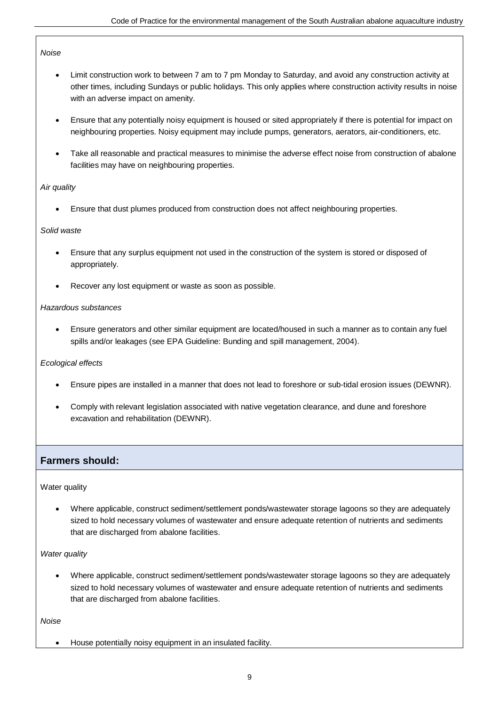#### *Noise*

- Limit construction work to between 7 am to 7 pm Monday to Saturday, and avoid any construction activity at other times, including Sundays or public holidays. This only applies where construction activity results in noise with an adverse impact on amenity.
- Ensure that any potentially noisy equipment is housed or sited appropriately if there is potential for impact on neighbouring properties. Noisy equipment may include pumps, generators, aerators, air-conditioners, etc.
- Take all reasonable and practical measures to minimise the adverse effect noise from construction of abalone facilities may have on neighbouring properties.

#### *Air quality*

Ensure that dust plumes produced from construction does not affect neighbouring properties.

#### *Solid waste*

- Ensure that any surplus equipment not used in the construction of the system is stored or disposed of appropriately.
- Recover any lost equipment or waste as soon as possible.

#### *Hazardous substances*

 Ensure generators and other similar equipment are located/housed in such a manner as to contain any fuel spills and/or leakages (see EPA Guideline: Bunding and spill management, 2004).

#### *Ecological effects*

- Ensure pipes are installed in a manner that does not lead to foreshore or sub-tidal erosion issues (DEWNR).
- Comply with relevant legislation associated with native vegetation clearance, and dune and foreshore excavation and rehabilitation (DEWNR).

### **Farmers should:**

#### Water quality

 Where applicable, construct sediment/settlement ponds/wastewater storage lagoons so they are adequately sized to hold necessary volumes of wastewater and ensure adequate retention of nutrients and sediments that are discharged from abalone facilities.

### *Water quality*

 Where applicable, construct sediment/settlement ponds/wastewater storage lagoons so they are adequately sized to hold necessary volumes of wastewater and ensure adequate retention of nutrients and sediments that are discharged from abalone facilities.

#### *Noise*

House potentially noisy equipment in an insulated facility.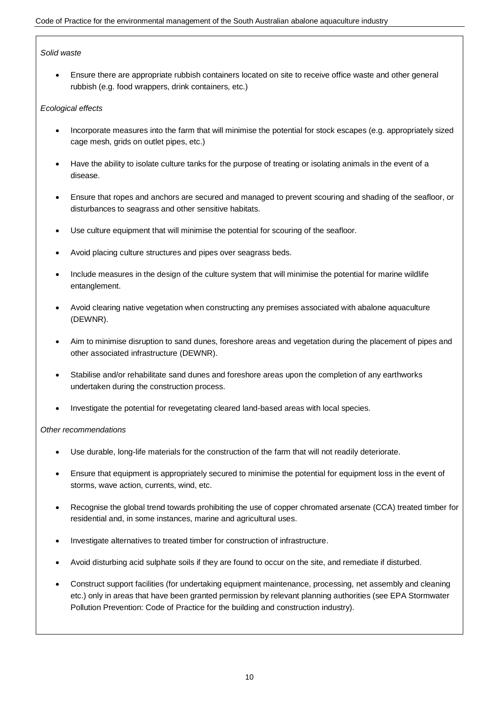### *Solid waste*

 Ensure there are appropriate rubbish containers located on site to receive office waste and other general rubbish (e.g. food wrappers, drink containers, etc.)

#### *Ecological effects*

- Incorporate measures into the farm that will minimise the potential for stock escapes (e.g. appropriately sized cage mesh, grids on outlet pipes, etc.)
- Have the ability to isolate culture tanks for the purpose of treating or isolating animals in the event of a disease.
- Ensure that ropes and anchors are secured and managed to prevent scouring and shading of the seafloor, or disturbances to seagrass and other sensitive habitats.
- Use culture equipment that will minimise the potential for scouring of the seafloor.
- Avoid placing culture structures and pipes over seagrass beds.
- Include measures in the design of the culture system that will minimise the potential for marine wildlife entanglement.
- Avoid clearing native vegetation when constructing any premises associated with abalone aquaculture (DEWNR).
- Aim to minimise disruption to sand dunes, foreshore areas and vegetation during the placement of pipes and other associated infrastructure (DEWNR).
- Stabilise and/or rehabilitate sand dunes and foreshore areas upon the completion of any earthworks undertaken during the construction process.
- Investigate the potential for revegetating cleared land-based areas with local species.

#### *Other recommendations*

- Use durable, long-life materials for the construction of the farm that will not readily deteriorate.
- Ensure that equipment is appropriately secured to minimise the potential for equipment loss in the event of storms, wave action, currents, wind, etc.
- Recognise the global trend towards prohibiting the use of copper chromated arsenate (CCA) treated timber for residential and, in some instances, marine and agricultural uses.
- Investigate alternatives to treated timber for construction of infrastructure.
- Avoid disturbing acid sulphate soils if they are found to occur on the site, and remediate if disturbed.
- Construct support facilities (for undertaking equipment maintenance, processing, net assembly and cleaning etc.) only in areas that have been granted permission by relevant planning authorities (see EPA Stormwater Pollution Prevention: Code of Practice for the building and construction industry).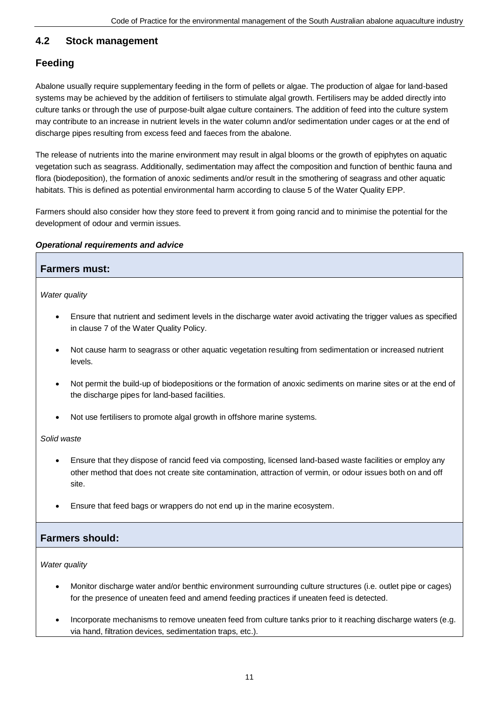### **4.2 Stock management**

### **Feeding**

Abalone usually require supplementary feeding in the form of pellets or algae. The production of algae for land-based systems may be achieved by the addition of fertilisers to stimulate algal growth. Fertilisers may be added directly into culture tanks or through the use of purpose-built algae culture containers. The addition of feed into the culture system may contribute to an increase in nutrient levels in the water column and/or sedimentation under cages or at the end of discharge pipes resulting from excess feed and faeces from the abalone.

The release of nutrients into the marine environment may result in algal blooms or the growth of epiphytes on aquatic vegetation such as seagrass. Additionally, sedimentation may affect the composition and function of benthic fauna and flora (biodeposition), the formation of anoxic sediments and/or result in the smothering of seagrass and other aquatic habitats. This is defined as potential environmental harm according to clause 5 of the Water Quality EPP.

Farmers should also consider how they store feed to prevent it from going rancid and to minimise the potential for the development of odour and vermin issues.

### *Operational requirements and advice*

|               | <b>Farmers must:</b>                                                                                                                                              |  |  |  |
|---------------|-------------------------------------------------------------------------------------------------------------------------------------------------------------------|--|--|--|
| Water quality |                                                                                                                                                                   |  |  |  |
| $\bullet$     | Ensure that nutrient and sediment levels in the discharge water avoid activating the trigger values as specified<br>in clause 7 of the Water Quality Policy.      |  |  |  |
| $\bullet$     | Not cause harm to seagrass or other aquatic vegetation resulting from sedimentation or increased nutrient<br>levels.                                              |  |  |  |
| $\bullet$     | Not permit the build-up of biodepositions or the formation of anoxic sediments on marine sites or at the end of<br>the discharge pipes for land-based facilities. |  |  |  |

Not use fertilisers to promote algal growth in offshore marine systems.

*Solid waste*

- Ensure that they dispose of rancid feed via composting, licensed land-based waste facilities or employ any other method that does not create site contamination, attraction of vermin, or odour issues both on and off site.
- Ensure that feed bags or wrappers do not end up in the marine ecosystem.

### **Farmers should:**

*Water quality*

- Monitor discharge water and/or benthic environment surrounding culture structures (i.e. outlet pipe or cages) for the presence of uneaten feed and amend feeding practices if uneaten feed is detected.
- Incorporate mechanisms to remove uneaten feed from culture tanks prior to it reaching discharge waters (e.g. via hand, filtration devices, sedimentation traps, etc.).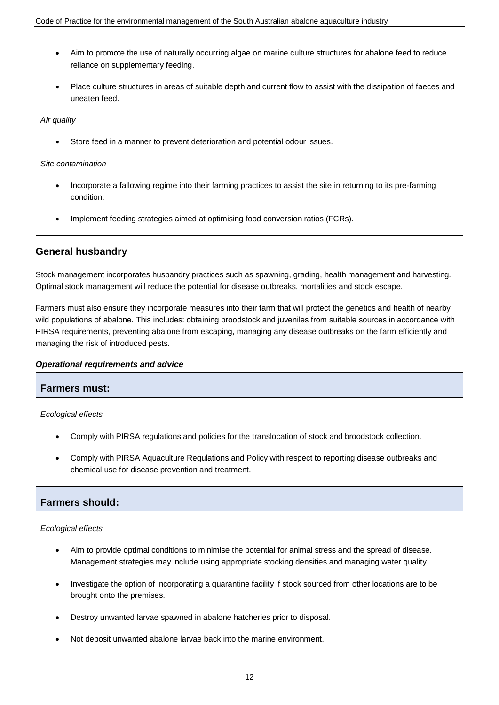- Aim to promote the use of naturally occurring algae on marine culture structures for abalone feed to reduce reliance on supplementary feeding.
- Place culture structures in areas of suitable depth and current flow to assist with the dissipation of faeces and uneaten feed.

*Air quality*

Store feed in a manner to prevent deterioration and potential odour issues.

*Site contamination*

- Incorporate a fallowing regime into their farming practices to assist the site in returning to its pre-farming condition.
- Implement feeding strategies aimed at optimising food conversion ratios (FCRs).

### **General husbandry**

Stock management incorporates husbandry practices such as spawning, grading, health management and harvesting. Optimal stock management will reduce the potential for disease outbreaks, mortalities and stock escape.

Farmers must also ensure they incorporate measures into their farm that will protect the genetics and health of nearby wild populations of abalone. This includes: obtaining broodstock and juveniles from suitable sources in accordance with PIRSA requirements, preventing abalone from escaping, managing any disease outbreaks on the farm efficiently and managing the risk of introduced pests.

### *Operational requirements and advice*

### **Farmers must:**

*Ecological effects*

- Comply with PIRSA regulations and policies for the translocation of stock and broodstock collection.
- Comply with PIRSA Aquaculture Regulations and Policy with respect to reporting disease outbreaks and chemical use for disease prevention and treatment.

### **Farmers should:**

*Ecological effects*

- Aim to provide optimal conditions to minimise the potential for animal stress and the spread of disease. Management strategies may include using appropriate stocking densities and managing water quality.
- Investigate the option of incorporating a quarantine facility if stock sourced from other locations are to be brought onto the premises.
- Destroy unwanted larvae spawned in abalone hatcheries prior to disposal.
- Not deposit unwanted abalone larvae back into the marine environment.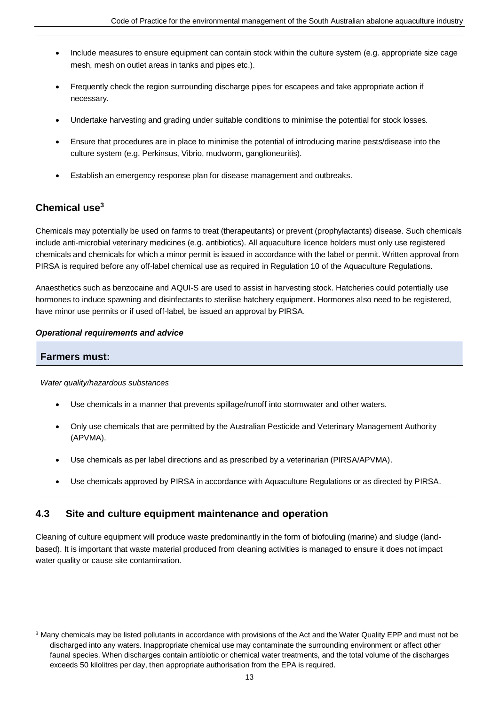- Include measures to ensure equipment can contain stock within the culture system (e.g. appropriate size cage mesh, mesh on outlet areas in tanks and pipes etc.).
- Frequently check the region surrounding discharge pipes for escapees and take appropriate action if necessary.
- Undertake harvesting and grading under suitable conditions to minimise the potential for stock losses.
- Ensure that procedures are in place to minimise the potential of introducing marine pests/disease into the culture system (e.g. Perkinsus, Vibrio, mudworm, ganglioneuritis).
- Establish an emergency response plan for disease management and outbreaks.

### **Chemical use<sup>3</sup>**

Chemicals may potentially be used on farms to treat (therapeutants) or prevent (prophylactants) disease. Such chemicals include anti-microbial veterinary medicines (e.g. antibiotics). All aquaculture licence holders must only use registered chemicals and chemicals for which a minor permit is issued in accordance with the label or permit. Written approval from PIRSA is required before any off-label chemical use as required in Regulation 10 of the Aquaculture Regulations.

Anaesthetics such as benzocaine and AQUI-S are used to assist in harvesting stock. Hatcheries could potentially use hormones to induce spawning and disinfectants to sterilise hatchery equipment. Hormones also need to be registered, have minor use permits or if used off-label, be issued an approval by PIRSA.

### *Operational requirements and advice*

### **Farmers must:**

 $\overline{a}$ 

*Water quality/hazardous substances*

- Use chemicals in a manner that prevents spillage/runoff into stormwater and other waters.
- Only use chemicals that are permitted by the Australian Pesticide and Veterinary Management Authority (APVMA).
- Use chemicals as per label directions and as prescribed by a veterinarian (PIRSA/APVMA).
- Use chemicals approved by PIRSA in accordance with Aquaculture Regulations or as directed by PIRSA.

### **4.3 Site and culture equipment maintenance and operation**

Cleaning of culture equipment will produce waste predominantly in the form of biofouling (marine) and sludge (landbased). It is important that waste material produced from cleaning activities is managed to ensure it does not impact water quality or cause site contamination.

<sup>3</sup> Many chemicals may be listed pollutants in accordance with provisions of the Act and the Water Quality EPP and must not be discharged into any waters. Inappropriate chemical use may contaminate the surrounding environment or affect other faunal species. When discharges contain antibiotic or chemical water treatments, and the total volume of the discharges exceeds 50 kilolitres per day, then appropriate authorisation from the EPA is required.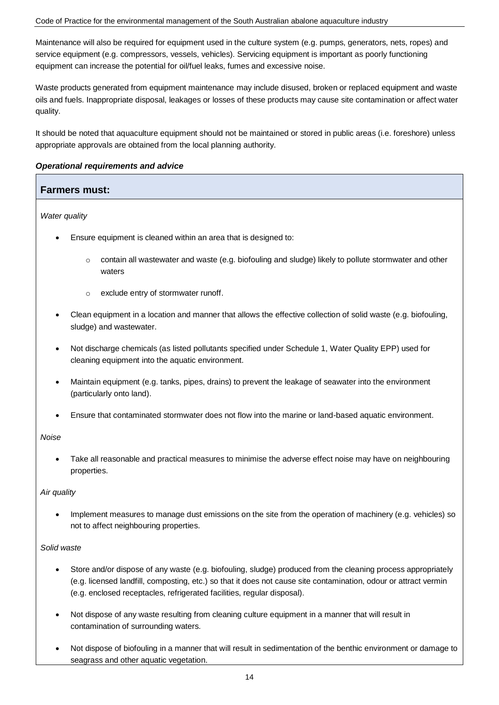#### Code of Practice for the environmental management of the South Australian abalone aquaculture industry

Maintenance will also be required for equipment used in the culture system (e.g. pumps, generators, nets, ropes) and service equipment (e.g. compressors, vessels, vehicles). Servicing equipment is important as poorly functioning equipment can increase the potential for oil/fuel leaks, fumes and excessive noise.

Waste products generated from equipment maintenance may include disused, broken or replaced equipment and waste oils and fuels. Inappropriate disposal, leakages or losses of these products may cause site contamination or affect water quality.

It should be noted that aquaculture equipment should not be maintained or stored in public areas (i.e. foreshore) unless appropriate approvals are obtained from the local planning authority.

#### *Operational requirements and advice*

### **Farmers must:**

#### *Water quality*

- Ensure equipment is cleaned within an area that is designed to:
	- $\circ$  contain all wastewater and waste (e.g. biofouling and sludge) likely to pollute stormwater and other waters
	- o exclude entry of stormwater runoff.
- Clean equipment in a location and manner that allows the effective collection of solid waste (e.g. biofouling, sludge) and wastewater.
- Not discharge chemicals (as listed pollutants specified under Schedule 1, Water Quality EPP) used for cleaning equipment into the aquatic environment.
- Maintain equipment (e.g. tanks, pipes, drains) to prevent the leakage of seawater into the environment (particularly onto land).
- Ensure that contaminated stormwater does not flow into the marine or land-based aquatic environment.

#### *Noise*

 Take all reasonable and practical measures to minimise the adverse effect noise may have on neighbouring properties.

#### *Air quality*

 Implement measures to manage dust emissions on the site from the operation of machinery (e.g. vehicles) so not to affect neighbouring properties.

#### *Solid waste*

- Store and/or dispose of any waste (e.g. biofouling, sludge) produced from the cleaning process appropriately (e.g. licensed landfill, composting, etc.) so that it does not cause site contamination, odour or attract vermin (e.g. enclosed receptacles, refrigerated facilities, regular disposal).
- Not dispose of any waste resulting from cleaning culture equipment in a manner that will result in contamination of surrounding waters.
- Not dispose of biofouling in a manner that will result in sedimentation of the benthic environment or damage to seagrass and other aquatic vegetation.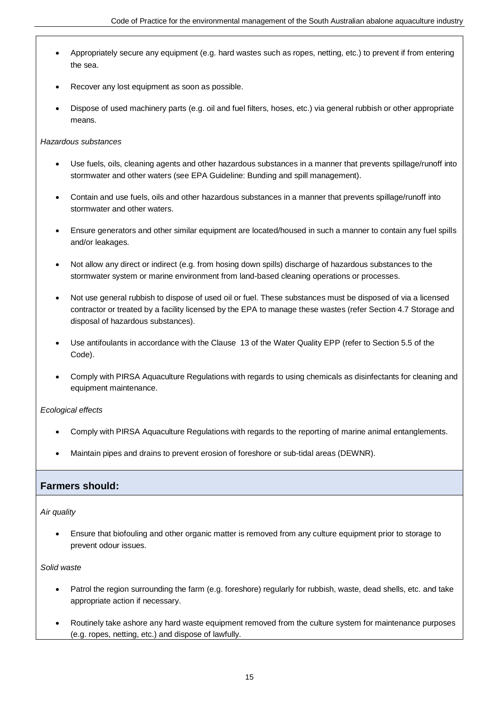- Appropriately secure any equipment (e.g. hard wastes such as ropes, netting, etc.) to prevent if from entering the sea.
- Recover any lost equipment as soon as possible.
- Dispose of used machinery parts (e.g. oil and fuel filters, hoses, etc.) via general rubbish or other appropriate means.

### *Hazardous substances*

- Use fuels, oils, cleaning agents and other hazardous substances in a manner that prevents spillage/runoff into stormwater and other waters (see EPA Guideline: Bunding and spill management).
- Contain and use fuels, oils and other hazardous substances in a manner that prevents spillage/runoff into stormwater and other waters.
- Ensure generators and other similar equipment are located/housed in such a manner to contain any fuel spills and/or leakages.
- Not allow any direct or indirect (e.g. from hosing down spills) discharge of hazardous substances to the stormwater system or marine environment from land-based cleaning operations or processes.
- Not use general rubbish to dispose of used oil or fuel. These substances must be disposed of via a licensed contractor or treated by a facility licensed by the EPA to manage these wastes (refer Section 4.7 Storage and disposal of hazardous substances).
- Use antifoulants in accordance with the Clause 13 of the Water Quality EPP (refer to Section 5.5 of the Code).
- Comply with PIRSA Aquaculture Regulations with regards to using chemicals as disinfectants for cleaning and equipment maintenance.

*Ecological effects*

- Comply with PIRSA Aquaculture Regulations with regards to the reporting of marine animal entanglements.
- Maintain pipes and drains to prevent erosion of foreshore or sub-tidal areas (DEWNR).

### **Farmers should:**

*Air quality*

 Ensure that biofouling and other organic matter is removed from any culture equipment prior to storage to prevent odour issues.

*Solid waste*

- Patrol the region surrounding the farm (e.g. foreshore) regularly for rubbish, waste, dead shells, etc. and take appropriate action if necessary.
- Routinely take ashore any hard waste equipment removed from the culture system for maintenance purposes (e.g. ropes, netting, etc.) and dispose of lawfully.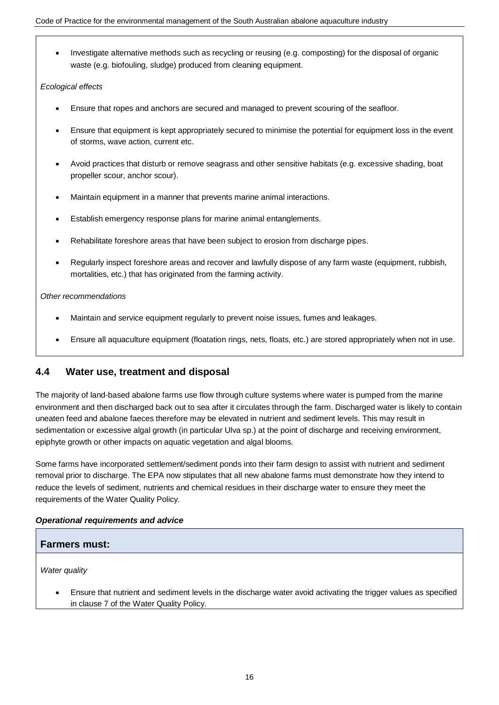• Investigate alternative methods such as recycling or reusing (e.g. composting) for the disposal of organic waste (e.g. biofouling, sludge) produced from cleaning equipment.

### *Ecological effects*

- Ensure that ropes and anchors are secured and managed to prevent scouring of the seafloor.
- Ensure that equipment is kept appropriately secured to minimise the potential for equipment loss in the event of storms, wave action, current etc.
- Avoid practices that disturb or remove seagrass and other sensitive habitats (e.g. excessive shading, boat propeller scour, anchor scour).
- Maintain equipment in a manner that prevents marine animal interactions.
- Establish emergency response plans for marine animal entanglements.
- Rehabilitate foreshore areas that have been subject to erosion from discharge pipes.
- Regularly inspect foreshore areas and recover and lawfully dispose of any farm waste (equipment, rubbish, mortalities, etc.) that has originated from the farming activity.

### *Other recommendations*

- Maintain and service equipment regularly to prevent noise issues, fumes and leakages.
- Ensure all aquaculture equipment (floatation rings, nets, floats, etc.) are stored appropriately when not in use.

### **4.4 Water use, treatment and disposal**

The majority of land-based abalone farms use flow through culture systems where water is pumped from the marine environment and then discharged back out to sea after it circulates through the farm. Discharged water is likely to contain uneaten feed and abalone faeces therefore may be elevated in nutrient and sediment levels. This may result in sedimentation or excessive algal growth (in particular Ulva sp.) at the point of discharge and receiving environment, epiphyte growth or other impacts on aquatic vegetation and algal blooms.

Some farms have incorporated settlement/sediment ponds into their farm design to assist with nutrient and sediment removal prior to discharge. The EPA now stipulates that all new abalone farms must demonstrate how they intend to reduce the levels of sediment, nutrients and chemical residues in their discharge water to ensure they meet the requirements of the Water Quality Policy.

### *Operational requirements and advice*

### **Farmers must:**

*Water quality*

 Ensure that nutrient and sediment levels in the discharge water avoid activating the trigger values as specified in clause 7 of the Water Quality Policy.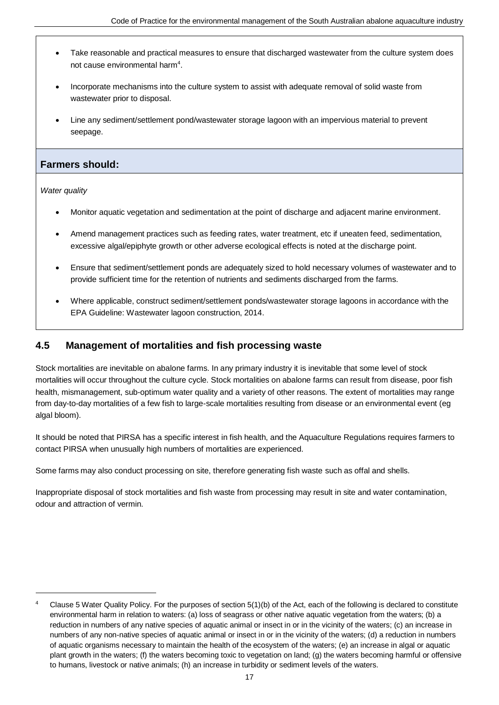- Take reasonable and practical measures to ensure that discharged wastewater from the culture system does not cause environmental harm<sup>4</sup>.
- Incorporate mechanisms into the culture system to assist with adequate removal of solid waste from wastewater prior to disposal.
- Line any sediment/settlement pond/wastewater storage lagoon with an impervious material to prevent seepage.

### **Farmers should:**

*Water quality*

 $\overline{a}$ 

- Monitor aquatic vegetation and sedimentation at the point of discharge and adjacent marine environment.
- Amend management practices such as feeding rates, water treatment, etc if uneaten feed, sedimentation, excessive algal/epiphyte growth or other adverse ecological effects is noted at the discharge point.
- Ensure that sediment/settlement ponds are adequately sized to hold necessary volumes of wastewater and to provide sufficient time for the retention of nutrients and sediments discharged from the farms.
- Where applicable, construct sediment/settlement ponds/wastewater storage lagoons in accordance with the EPA Guideline: Wastewater lagoon construction, 2014.

### **4.5 Management of mortalities and fish processing waste**

Stock mortalities are inevitable on abalone farms. In any primary industry it is inevitable that some level of stock mortalities will occur throughout the culture cycle. Stock mortalities on abalone farms can result from disease, poor fish health, mismanagement, sub-optimum water quality and a variety of other reasons. The extent of mortalities may range from day-to-day mortalities of a few fish to large-scale mortalities resulting from disease or an environmental event (eg algal bloom).

It should be noted that PIRSA has a specific interest in fish health, and the Aquaculture Regulations requires farmers to contact PIRSA when unusually high numbers of mortalities are experienced.

Some farms may also conduct processing on site, therefore generating fish waste such as offal and shells.

Inappropriate disposal of stock mortalities and fish waste from processing may result in site and water contamination, odour and attraction of vermin.

<sup>4</sup> Clause 5 Water Quality Policy. For the purposes of section 5(1)(b) of the Act, each of the following is declared to constitute environmental harm in relation to waters: (a) loss of seagrass or other native aquatic vegetation from the waters; (b) a reduction in numbers of any native species of aquatic animal or insect in or in the vicinity of the waters; (c) an increase in numbers of any non-native species of aquatic animal or insect in or in the vicinity of the waters; (d) a reduction in numbers of aquatic organisms necessary to maintain the health of the ecosystem of the waters; (e) an increase in algal or aquatic plant growth in the waters; (f) the waters becoming toxic to vegetation on land; (g) the waters becoming harmful or offensive to humans, livestock or native animals; (h) an increase in turbidity or sediment levels of the waters.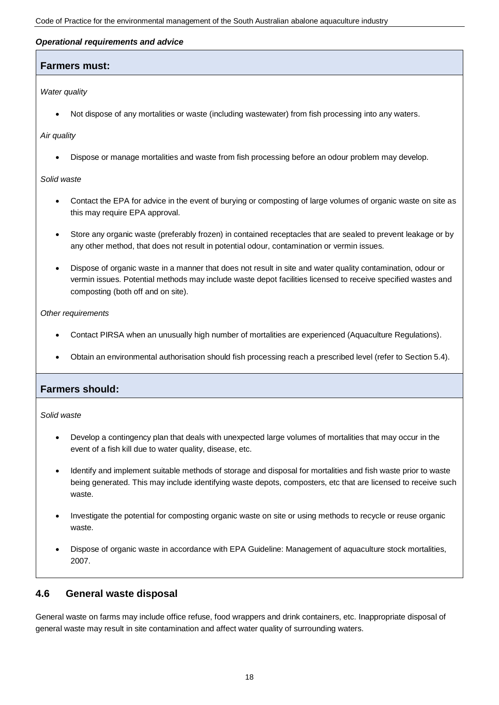#### *Operational requirements and advice*

### **Farmers must:**

*Water quality*

Not dispose of any mortalities or waste (including wastewater) from fish processing into any waters.

#### *Air quality*

Dispose or manage mortalities and waste from fish processing before an odour problem may develop.

*Solid waste*

- Contact the EPA for advice in the event of burying or composting of large volumes of organic waste on site as this may require EPA approval.
- Store any organic waste (preferably frozen) in contained receptacles that are sealed to prevent leakage or by any other method, that does not result in potential odour, contamination or vermin issues.
- Dispose of organic waste in a manner that does not result in site and water quality contamination, odour or vermin issues. Potential methods may include waste depot facilities licensed to receive specified wastes and composting (both off and on site).

*Other requirements*

- Contact PIRSA when an unusually high number of mortalities are experienced (Aquaculture Regulations).
- Obtain an environmental authorisation should fish processing reach a prescribed level (refer to Section 5.4).

### **Farmers should:**

*Solid waste*

- Develop a contingency plan that deals with unexpected large volumes of mortalities that may occur in the event of a fish kill due to water quality, disease, etc.
- Identify and implement suitable methods of storage and disposal for mortalities and fish waste prior to waste being generated. This may include identifying waste depots, composters, etc that are licensed to receive such waste.
- Investigate the potential for composting organic waste on site or using methods to recycle or reuse organic waste.
- Dispose of organic waste in accordance with EPA Guideline: Management of aquaculture stock mortalities, 2007.

### **4.6 General waste disposal**

General waste on farms may include office refuse, food wrappers and drink containers, etc. Inappropriate disposal of general waste may result in site contamination and affect water quality of surrounding waters.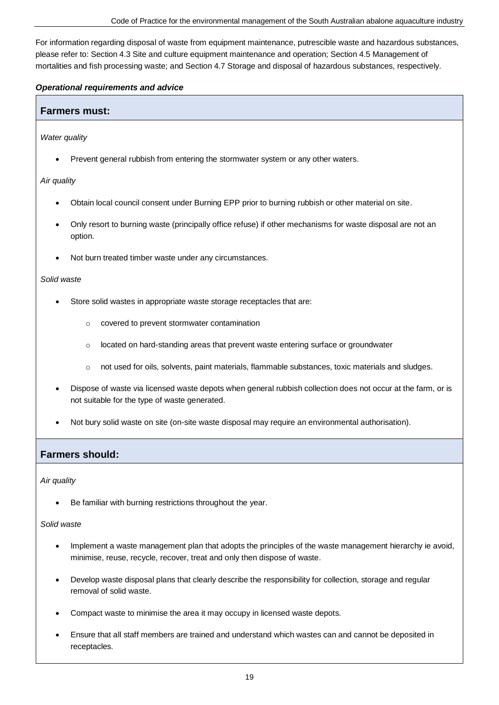For information regarding disposal of waste from equipment maintenance, putrescible waste and hazardous substances, please refer to: Section 4.3 Site and culture equipment maintenance and operation; Section 4.5 Management of mortalities and fish processing waste; and Section 4.7 Storage and disposal of hazardous substances, respectively.

### *Operational requirements and advice*

### **Farmers must:**

*Water quality*

Prevent general rubbish from entering the stormwater system or any other waters.

*Air quality*

- Obtain local council consent under Burning EPP prior to burning rubbish or other material on site.
- Only resort to burning waste (principally office refuse) if other mechanisms for waste disposal are not an option.
- Not burn treated timber waste under any circumstances.

#### *Solid waste*

- Store solid wastes in appropriate waste storage receptacles that are:
	- o covered to prevent stormwater contamination
	- o located on hard-standing areas that prevent waste entering surface or groundwater
	- o not used for oils, solvents, paint materials, flammable substances, toxic materials and sludges.
- Dispose of waste via licensed waste depots when general rubbish collection does not occur at the farm, or is not suitable for the type of waste generated.
- Not bury solid waste on site (on-site waste disposal may require an environmental authorisation).

### **Farmers should:**

*Air quality*

Be familiar with burning restrictions throughout the year.

### *Solid waste*

- Implement a waste management plan that adopts the principles of the waste management hierarchy ie avoid, minimise, reuse, recycle, recover, treat and only then dispose of waste.
- Develop waste disposal plans that clearly describe the responsibility for collection, storage and regular removal of solid waste.
- Compact waste to minimise the area it may occupy in licensed waste depots.
- Ensure that all staff members are trained and understand which wastes can and cannot be deposited in receptacles.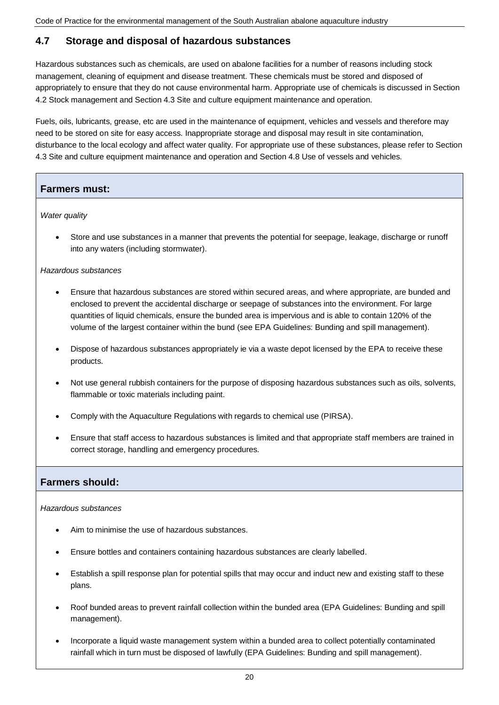### **4.7 Storage and disposal of hazardous substances**

Hazardous substances such as chemicals, are used on abalone facilities for a number of reasons including stock management, cleaning of equipment and disease treatment. These chemicals must be stored and disposed of appropriately to ensure that they do not cause environmental harm. Appropriate use of chemicals is discussed in Section 4.2 Stock management and Section 4.3 Site and culture equipment maintenance and operation.

Fuels, oils, lubricants, grease, etc are used in the maintenance of equipment, vehicles and vessels and therefore may need to be stored on site for easy access. Inappropriate storage and disposal may result in site contamination, disturbance to the local ecology and affect water quality. For appropriate use of these substances, please refer to Section 4.3 Site and culture equipment maintenance and operation and Section 4.8 Use of vessels and vehicles.

### **Farmers must:**

*Water quality*

 Store and use substances in a manner that prevents the potential for seepage, leakage, discharge or runoff into any waters (including stormwater).

#### *Hazardous substances*

- Ensure that hazardous substances are stored within secured areas, and where appropriate, are bunded and enclosed to prevent the accidental discharge or seepage of substances into the environment. For large quantities of liquid chemicals, ensure the bunded area is impervious and is able to contain 120% of the volume of the largest container within the bund (see EPA Guidelines: Bunding and spill management).
- Dispose of hazardous substances appropriately ie via a waste depot licensed by the EPA to receive these products.
- Not use general rubbish containers for the purpose of disposing hazardous substances such as oils, solvents, flammable or toxic materials including paint.
- Comply with the Aquaculture Regulations with regards to chemical use (PIRSA).
- Ensure that staff access to hazardous substances is limited and that appropriate staff members are trained in correct storage, handling and emergency procedures.

### **Farmers should:**

*Hazardous substances*

- Aim to minimise the use of hazardous substances.
- Ensure bottles and containers containing hazardous substances are clearly labelled.
- Establish a spill response plan for potential spills that may occur and induct new and existing staff to these plans.
- Roof bunded areas to prevent rainfall collection within the bunded area (EPA Guidelines: Bunding and spill management).
- Incorporate a liquid waste management system within a bunded area to collect potentially contaminated rainfall which in turn must be disposed of lawfully (EPA Guidelines: Bunding and spill management).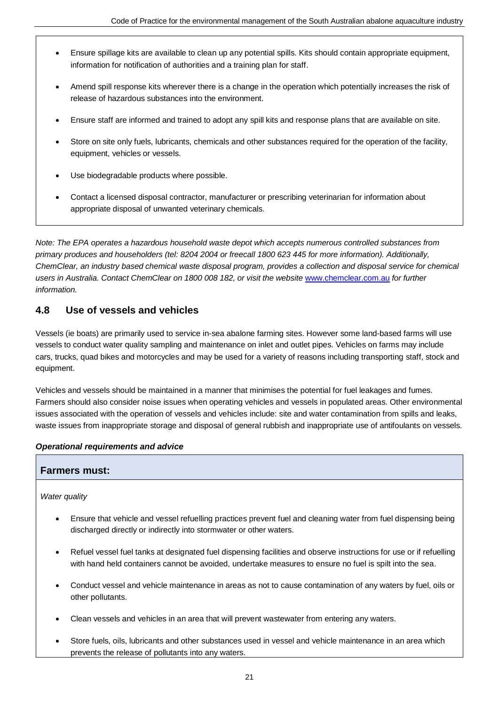- Ensure spillage kits are available to clean up any potential spills. Kits should contain appropriate equipment, information for notification of authorities and a training plan for staff.
- Amend spill response kits wherever there is a change in the operation which potentially increases the risk of release of hazardous substances into the environment.
- Ensure staff are informed and trained to adopt any spill kits and response plans that are available on site.
- Store on site only fuels, lubricants, chemicals and other substances required for the operation of the facility, equipment, vehicles or vessels.
- Use biodegradable products where possible.
- Contact a licensed disposal contractor, manufacturer or prescribing veterinarian for information about appropriate disposal of unwanted veterinary chemicals.

*Note: The EPA operates a hazardous household waste depot which accepts numerous controlled substances from primary produces and householders (tel: 8204 2004 or freecall 1800 623 445 for more information). Additionally, ChemClear, an industry based chemical waste disposal program, provides a collection and disposal service for chemical users in Australia. Contact ChemClear on 1800 008 182, or visit the website* [www.chemclear.com.au](http://www.chemclear.com.au/) *for further information.*

### **4.8 Use of vessels and vehicles**

Vessels (ie boats) are primarily used to service in-sea abalone farming sites. However some land-based farms will use vessels to conduct water quality sampling and maintenance on inlet and outlet pipes. Vehicles on farms may include cars, trucks, quad bikes and motorcycles and may be used for a variety of reasons including transporting staff, stock and equipment.

Vehicles and vessels should be maintained in a manner that minimises the potential for fuel leakages and fumes. Farmers should also consider noise issues when operating vehicles and vessels in populated areas. Other environmental issues associated with the operation of vessels and vehicles include: site and water contamination from spills and leaks, waste issues from inappropriate storage and disposal of general rubbish and inappropriate use of antifoulants on vessels.

### *Operational requirements and advice*

### **Farmers must:**

### *Water quality*

- Ensure that vehicle and vessel refuelling practices prevent fuel and cleaning water from fuel dispensing being discharged directly or indirectly into stormwater or other waters.
- Refuel vessel fuel tanks at designated fuel dispensing facilities and observe instructions for use or if refuelling with hand held containers cannot be avoided, undertake measures to ensure no fuel is spilt into the sea.
- Conduct vessel and vehicle maintenance in areas as not to cause contamination of any waters by fuel, oils or other pollutants.
- Clean vessels and vehicles in an area that will prevent wastewater from entering any waters.
- Store fuels, oils, lubricants and other substances used in vessel and vehicle maintenance in an area which prevents the release of pollutants into any waters.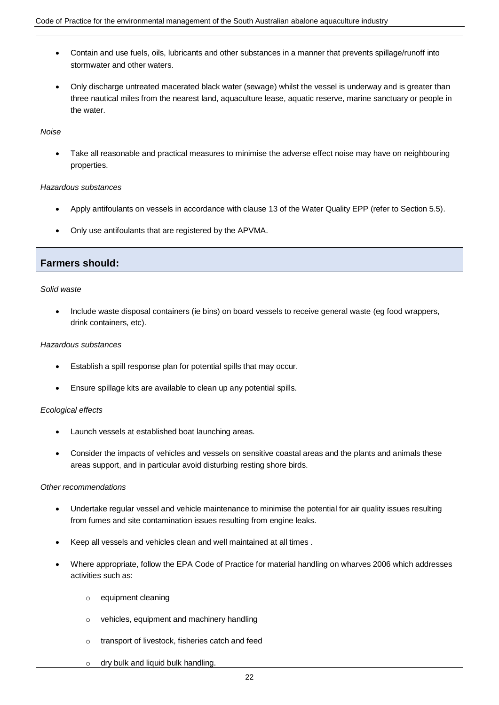- Contain and use fuels, oils, lubricants and other substances in a manner that prevents spillage/runoff into stormwater and other waters.
- Only discharge untreated macerated black water (sewage) whilst the vessel is underway and is greater than three nautical miles from the nearest land, aquaculture lease, aquatic reserve, marine sanctuary or people in the water.

*Noise*

 Take all reasonable and practical measures to minimise the adverse effect noise may have on neighbouring properties.

#### *Hazardous substances*

- Apply antifoulants on vessels in accordance with clause 13 of the Water Quality EPP (refer to Section 5.5).
- Only use antifoulants that are registered by the APVMA.

### **Farmers should:**

#### *Solid waste*

 Include waste disposal containers (ie bins) on board vessels to receive general waste (eg food wrappers, drink containers, etc).

#### *Hazardous substances*

- Establish a spill response plan for potential spills that may occur.
- Ensure spillage kits are available to clean up any potential spills.

#### *Ecological effects*

- Launch vessels at established boat launching areas.
- Consider the impacts of vehicles and vessels on sensitive coastal areas and the plants and animals these areas support, and in particular avoid disturbing resting shore birds.

#### *Other recommendations*

- Undertake regular vessel and vehicle maintenance to minimise the potential for air quality issues resulting from fumes and site contamination issues resulting from engine leaks.
- Keep all vessels and vehicles clean and well maintained at all times .
- Where appropriate, follow the EPA Code of Practice for material handling on wharves 2006 which addresses activities such as:
	- o equipment cleaning
	- o vehicles, equipment and machinery handling
	- o transport of livestock, fisheries catch and feed
	- o dry bulk and liquid bulk handling.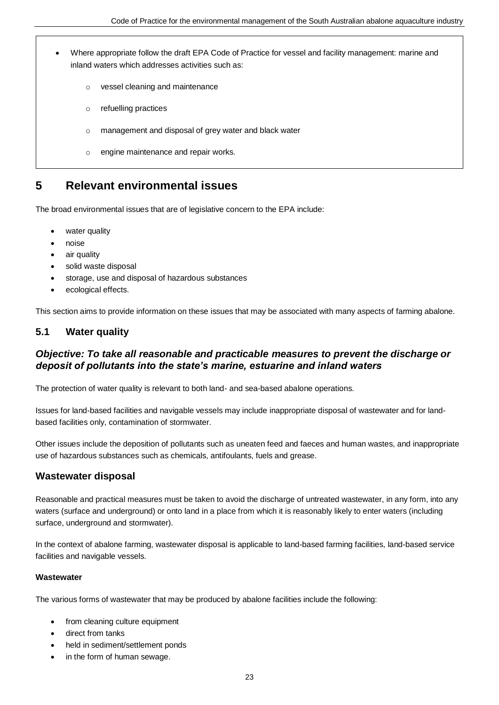- Where appropriate follow the draft EPA Code of Practice for vessel and facility management: marine and inland waters which addresses activities such as:
	- o vessel cleaning and maintenance
	- o refuelling practices
	- o management and disposal of grey water and black water
	- o engine maintenance and repair works.

## **5 Relevant environmental issues**

The broad environmental issues that are of legislative concern to the EPA include:

- water quality
- noise
- air quality
- solid waste disposal
- storage, use and disposal of hazardous substances
- ecological effects.

This section aims to provide information on these issues that may be associated with many aspects of farming abalone.

### **5.1 Water quality**

### *Objective: To take all reasonable and practicable measures to prevent the discharge or deposit of pollutants into the state's marine, estuarine and inland waters*

The protection of water quality is relevant to both land- and sea-based abalone operations.

Issues for land-based facilities and navigable vessels may include inappropriate disposal of wastewater and for landbased facilities only, contamination of stormwater.

Other issues include the deposition of pollutants such as uneaten feed and faeces and human wastes, and inappropriate use of hazardous substances such as chemicals, antifoulants, fuels and grease.

### **Wastewater disposal**

Reasonable and practical measures must be taken to avoid the discharge of untreated wastewater, in any form, into any waters (surface and underground) or onto land in a place from which it is reasonably likely to enter waters (including surface, underground and stormwater).

In the context of abalone farming, wastewater disposal is applicable to land-based farming facilities, land-based service facilities and navigable vessels.

### **Wastewater**

The various forms of wastewater that may be produced by abalone facilities include the following:

- from cleaning culture equipment
- direct from tanks
- held in sediment/settlement ponds
- in the form of human sewage.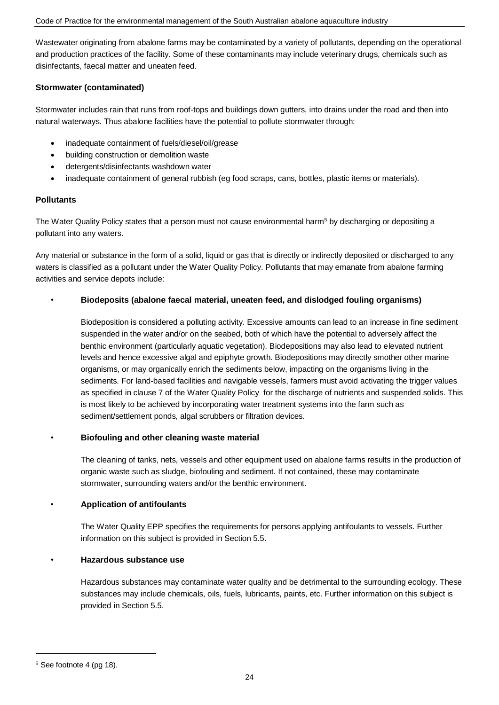Wastewater originating from abalone farms may be contaminated by a variety of pollutants, depending on the operational and production practices of the facility. Some of these contaminants may include veterinary drugs, chemicals such as disinfectants, faecal matter and uneaten feed.

### **Stormwater (contaminated)**

Stormwater includes rain that runs from roof-tops and buildings down gutters, into drains under the road and then into natural waterways. Thus abalone facilities have the potential to pollute stormwater through:

- inadequate containment of fuels/diesel/oil/grease
- building construction or demolition waste
- detergents/disinfectants washdown water
- inadequate containment of general rubbish (eg food scraps, cans, bottles, plastic items or materials).

### **Pollutants**

The Water Quality Policy states that a person must not cause environmental harm<sup>5</sup> by discharging or depositing a pollutant into any waters.

Any material or substance in the form of a solid, liquid or gas that is directly or indirectly deposited or discharged to any waters is classified as a pollutant under the Water Quality Policy. Pollutants that may emanate from abalone farming activities and service depots include:

### • **Biodeposits (abalone faecal material, uneaten feed, and dislodged fouling organisms)**

Biodeposition is considered a polluting activity. Excessive amounts can lead to an increase in fine sediment suspended in the water and/or on the seabed, both of which have the potential to adversely affect the benthic environment (particularly aquatic vegetation). Biodepositions may also lead to elevated nutrient levels and hence excessive algal and epiphyte growth. Biodepositions may directly smother other marine organisms, or may organically enrich the sediments below, impacting on the organisms living in the sediments. For land-based facilities and navigable vessels, farmers must avoid activating the trigger values as specified in clause 7 of the Water Quality Policy for the discharge of nutrients and suspended solids. This is most likely to be achieved by incorporating water treatment systems into the farm such as sediment/settlement ponds, algal scrubbers or filtration devices.

### • **Biofouling and other cleaning waste material**

The cleaning of tanks, nets, vessels and other equipment used on abalone farms results in the production of organic waste such as sludge, biofouling and sediment. If not contained, these may contaminate stormwater, surrounding waters and/or the benthic environment.

### • **Application of antifoulants**

The Water Quality EPP specifies the requirements for persons applying antifoulants to vessels. Further information on this subject is provided in Section 5.5.

### • **Hazardous substance use**

Hazardous substances may contaminate water quality and be detrimental to the surrounding ecology. These substances may include chemicals, oils, fuels, lubricants, paints, etc. Further information on this subject is provided in Section 5.5.

 $\overline{a}$ 

<sup>5</sup> See footnote 4 (pg 18).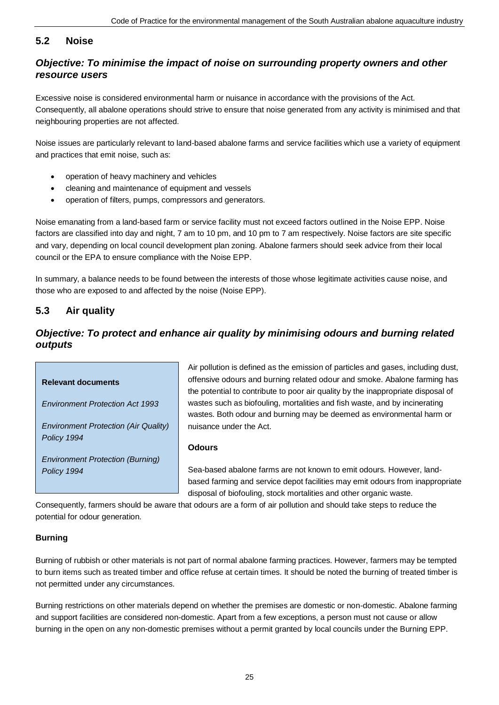### **5.2 Noise**

### *Objective: To minimise the impact of noise on surrounding property owners and other resource users*

Excessive noise is considered environmental harm or nuisance in accordance with the provisions of the Act. Consequently, all abalone operations should strive to ensure that noise generated from any activity is minimised and that neighbouring properties are not affected.

Noise issues are particularly relevant to land-based abalone farms and service facilities which use a variety of equipment and practices that emit noise, such as:

- operation of heavy machinery and vehicles
- cleaning and maintenance of equipment and vessels
- operation of filters, pumps, compressors and generators.

Noise emanating from a land-based farm or service facility must not exceed factors outlined in the Noise EPP. Noise factors are classified into day and night, 7 am to 10 pm, and 10 pm to 7 am respectively. Noise factors are site specific and vary, depending on local council development plan zoning. Abalone farmers should seek advice from their local council or the EPA to ensure compliance with the Noise EPP.

In summary, a balance needs to be found between the interests of those whose legitimate activities cause noise, and those who are exposed to and affected by the noise (Noise EPP).

### **5.3 Air quality**

### *Objective: To protect and enhance air quality by minimising odours and burning related outputs*

#### **Relevant documents**

*Environment Protection Act 1993*

*Environment Protection (Air Quality) Policy 1994*

*Environment Protection (Burning) Policy 1994*

Air pollution is defined as the emission of particles and gases, including dust, offensive odours and burning related odour and smoke. Abalone farming has the potential to contribute to poor air quality by the inappropriate disposal of wastes such as biofouling, mortalities and fish waste, and by incinerating wastes. Both odour and burning may be deemed as environmental harm or nuisance under the Act.

### **Odours**

Sea-based abalone farms are not known to emit odours. However, landbased farming and service depot facilities may emit odours from inappropriate disposal of biofouling, stock mortalities and other organic waste.

Consequently, farmers should be aware that odours are a form of air pollution and should take steps to reduce the potential for odour generation.

### **Burning**

Burning of rubbish or other materials is not part of normal abalone farming practices. However, farmers may be tempted to burn items such as treated timber and office refuse at certain times. It should be noted the burning of treated timber is not permitted under any circumstances.

Burning restrictions on other materials depend on whether the premises are domestic or non-domestic. Abalone farming and support facilities are considered non-domestic. Apart from a few exceptions, a person must not cause or allow burning in the open on any non-domestic premises without a permit granted by local councils under the Burning EPP.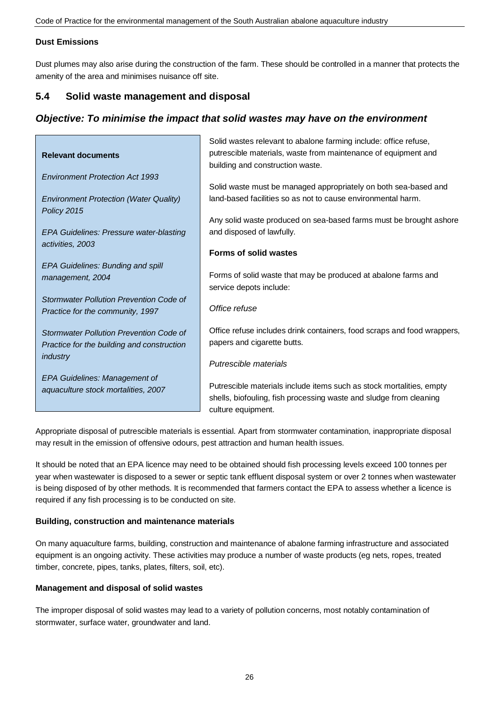### **Dust Emissions**

Dust plumes may also arise during the construction of the farm. These should be controlled in a manner that protects the amenity of the area and minimises nuisance off site.

### **5.4 Solid waste management and disposal**

### *Objective: To minimise the impact that solid wastes may have on the environment*

|                                               | Solid wastes relevant to abalone farming include: office refuse,                                                    |
|-----------------------------------------------|---------------------------------------------------------------------------------------------------------------------|
| <b>Relevant documents</b>                     | putrescible materials, waste from maintenance of equipment and                                                      |
|                                               | building and construction waste.                                                                                    |
| <b>Environment Protection Act 1993</b>        |                                                                                                                     |
|                                               | Solid waste must be managed appropriately on both sea-based and                                                     |
| <b>Environment Protection (Water Quality)</b> | land-based facilities so as not to cause environmental harm.                                                        |
| Policy 2015                                   |                                                                                                                     |
|                                               | Any solid waste produced on sea-based farms must be brought ashore                                                  |
| EPA Guidelines: Pressure water-blasting       | and disposed of lawfully.                                                                                           |
| activities, 2003                              |                                                                                                                     |
|                                               | <b>Forms of solid wastes</b>                                                                                        |
| EPA Guidelines: Bunding and spill             |                                                                                                                     |
| management, 2004                              | Forms of solid waste that may be produced at abalone farms and                                                      |
|                                               | service depots include:                                                                                             |
| Stormwater Pollution Prevention Code of       |                                                                                                                     |
| Practice for the community, 1997              | Office refuse                                                                                                       |
|                                               |                                                                                                                     |
| Stormwater Pollution Prevention Code of       | Office refuse includes drink containers, food scraps and food wrappers,                                             |
| Practice for the building and construction    | papers and cigarette butts.                                                                                         |
| industry                                      |                                                                                                                     |
|                                               | Putrescible materials                                                                                               |
| EPA Guidelines: Management of                 |                                                                                                                     |
| aquaculture stock mortalities, 2007           | Putrescible materials include items such as stock mortalities, empty                                                |
|                                               | shells, biofouling, fish processing waste and sludge from cleaning                                                  |
|                                               | culture equipment.                                                                                                  |
|                                               |                                                                                                                     |
|                                               | Innecesiate dieneed ef nutreealle meteriale je eeentiel. Anast from etermusies eestemineties, inonprensiete dieneel |

Appropriate disposal of putrescible materials is essential. Apart from stormwater contamination, inappropriate disposal may result in the emission of offensive odours, pest attraction and human health issues.

It should be noted that an EPA licence may need to be obtained should fish processing levels exceed 100 tonnes per year when wastewater is disposed to a sewer or septic tank effluent disposal system or over 2 tonnes when wastewater is being disposed of by other methods. It is recommended that farmers contact the EPA to assess whether a licence is required if any fish processing is to be conducted on site.

### **Building, construction and maintenance materials**

On many aquaculture farms, building, construction and maintenance of abalone farming infrastructure and associated equipment is an ongoing activity. These activities may produce a number of waste products (eg nets, ropes, treated timber, concrete, pipes, tanks, plates, filters, soil, etc).

### **Management and disposal of solid wastes**

The improper disposal of solid wastes may lead to a variety of pollution concerns, most notably contamination of stormwater, surface water, groundwater and land.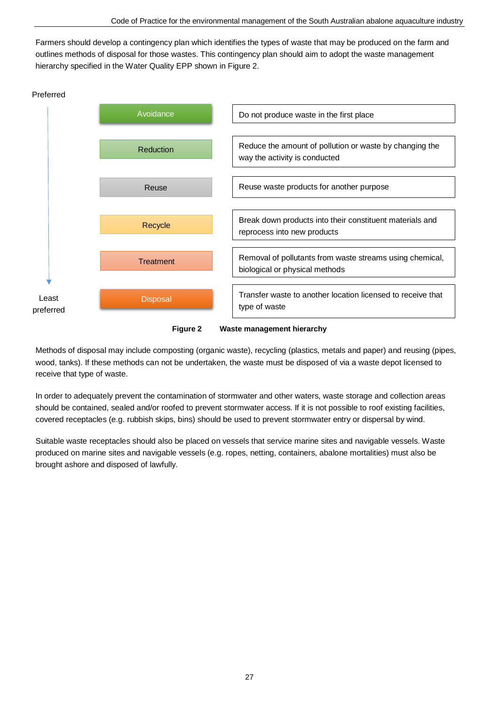Farmers should develop a contingency plan which identifies the types of waste that may be produced on the farm and outlines methods of disposal for those wastes. This contingency plan should aim to adopt the waste management hierarchy specified in the Water Quality EPP shown in Figure 2.



**Figure 2 Waste management hierarchy**

Methods of disposal may include composting (organic waste), recycling (plastics, metals and paper) and reusing (pipes, wood, tanks). If these methods can not be undertaken, the waste must be disposed of via a waste depot licensed to receive that type of waste.

In order to adequately prevent the contamination of stormwater and other waters, waste storage and collection areas should be contained, sealed and/or roofed to prevent stormwater access. If it is not possible to roof existing facilities, covered receptacles (e.g. rubbish skips, bins) should be used to prevent stormwater entry or dispersal by wind.

Suitable waste receptacles should also be placed on vessels that service marine sites and navigable vessels. Waste produced on marine sites and navigable vessels (e.g. ropes, netting, containers, abalone mortalities) must also be brought ashore and disposed of lawfully.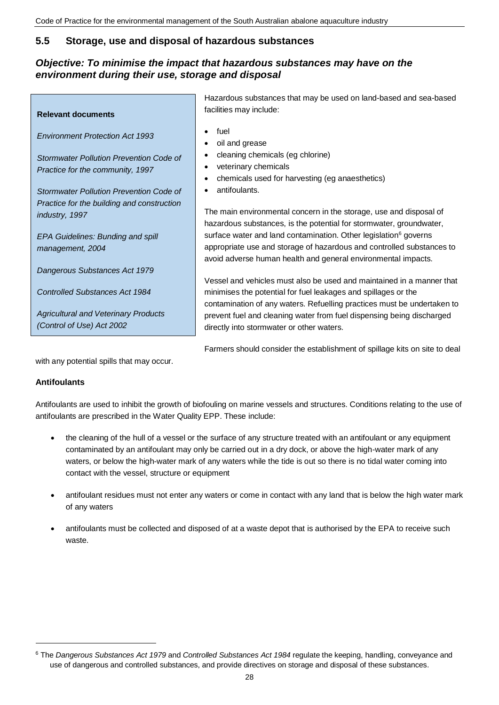### **5.5 Storage, use and disposal of hazardous substances**

### *Objective: To minimise the impact that hazardous substances may have on the environment during their use, storage and disposal*

|                                             | Hazardous substances that may be used on land-based and sea-based            |
|---------------------------------------------|------------------------------------------------------------------------------|
| <b>Relevant documents</b>                   | facilities may include:                                                      |
| <b>Environment Protection Act 1993</b>      | fuel<br>oil and grease<br>٠                                                  |
| Stormwater Pollution Prevention Code of     | cleaning chemicals (eg chlorine)                                             |
| Practice for the community, 1997            | veterinary chemicals                                                         |
|                                             | chemicals used for harvesting (eg anaesthetics)                              |
| Stormwater Pollution Prevention Code of     | antifoulants.                                                                |
| Practice for the building and construction  |                                                                              |
| industry, 1997                              | The main environmental concern in the storage, use and disposal of           |
|                                             | hazardous substances, is the potential for stormwater, groundwater,          |
| <b>EPA Guidelines: Bunding and spill</b>    | surface water and land contamination. Other legislation <sup>6</sup> governs |
| management, 2004                            | appropriate use and storage of hazardous and controlled substances to        |
|                                             | avoid adverse human health and general environmental impacts.                |
| Dangerous Substances Act 1979               |                                                                              |
|                                             | Vessel and vehicles must also be used and maintained in a manner that        |
| <b>Controlled Substances Act 1984</b>       | minimises the potential for fuel leakages and spillages or the               |
|                                             | contamination of any waters. Refuelling practices must be undertaken to      |
| <b>Agricultural and Veterinary Products</b> | prevent fuel and cleaning water from fuel dispensing being discharged        |
| (Control of Use) Act 2002                   | directly into stormwater or other waters.                                    |
|                                             |                                                                              |

Farmers should consider the establishment of spillage kits on site to deal

with any potential spills that may occur.

### **Antifoulants**

 $\overline{a}$ 

Antifoulants are used to inhibit the growth of biofouling on marine vessels and structures. Conditions relating to the use of antifoulants are prescribed in the Water Quality EPP. These include:

- the cleaning of the hull of a vessel or the surface of any structure treated with an antifoulant or any equipment contaminated by an antifoulant may only be carried out in a dry dock, or above the high-water mark of any waters, or below the high-water mark of any waters while the tide is out so there is no tidal water coming into contact with the vessel, structure or equipment
- antifoulant residues must not enter any waters or come in contact with any land that is below the high water mark of any waters
- antifoulants must be collected and disposed of at a waste depot that is authorised by the EPA to receive such waste.

<sup>6</sup> The *Dangerous Substances Act 1979* and *Controlled Substances Act 1984* regulate the keeping, handling, conveyance and use of dangerous and controlled substances, and provide directives on storage and disposal of these substances.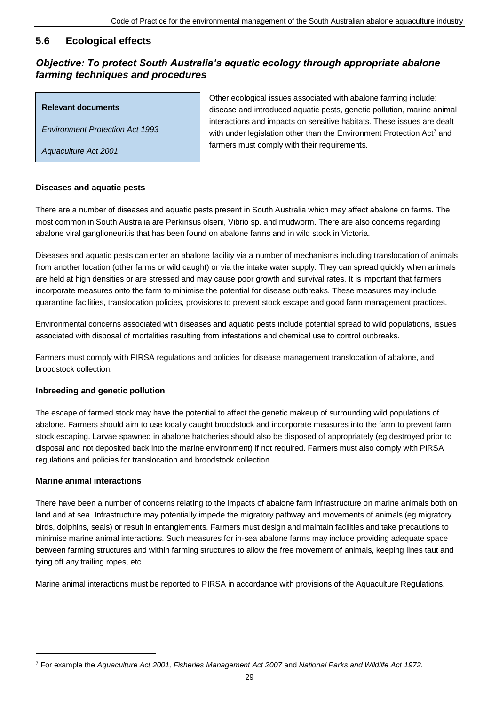### **5.6 Ecological effects**

### *Objective: To protect South Australia's aquatic ecology through appropriate abalone farming techniques and procedures*

### **Relevant documents**

*Environment Protection Act 1993*

*Aquaculture Act 2001*

Other ecological issues associated with abalone farming include: disease and introduced aquatic pests, genetic pollution, marine animal interactions and impacts on sensitive habitats. These issues are dealt with under legislation other than the Environment Protection Act<sup>7</sup> and farmers must comply with their requirements.

### **Diseases and aquatic pests**

There are a number of diseases and aquatic pests present in South Australia which may affect abalone on farms. The most common in South Australia are Perkinsus olseni, Vibrio sp. and mudworm. There are also concerns regarding abalone viral ganglioneuritis that has been found on abalone farms and in wild stock in Victoria.

Diseases and aquatic pests can enter an abalone facility via a number of mechanisms including translocation of animals from another location (other farms or wild caught) or via the intake water supply. They can spread quickly when animals are held at high densities or are stressed and may cause poor growth and survival rates. It is important that farmers incorporate measures onto the farm to minimise the potential for disease outbreaks. These measures may include quarantine facilities, translocation policies, provisions to prevent stock escape and good farm management practices.

Environmental concerns associated with diseases and aquatic pests include potential spread to wild populations, issues associated with disposal of mortalities resulting from infestations and chemical use to control outbreaks.

Farmers must comply with PIRSA regulations and policies for disease management translocation of abalone, and broodstock collection.

### **Inbreeding and genetic pollution**

The escape of farmed stock may have the potential to affect the genetic makeup of surrounding wild populations of abalone. Farmers should aim to use locally caught broodstock and incorporate measures into the farm to prevent farm stock escaping. Larvae spawned in abalone hatcheries should also be disposed of appropriately (eg destroyed prior to disposal and not deposited back into the marine environment) if not required. Farmers must also comply with PIRSA regulations and policies for translocation and broodstock collection.

### **Marine animal interactions**

 $\overline{a}$ 

There have been a number of concerns relating to the impacts of abalone farm infrastructure on marine animals both on land and at sea. Infrastructure may potentially impede the migratory pathway and movements of animals (eg migratory birds, dolphins, seals) or result in entanglements. Farmers must design and maintain facilities and take precautions to minimise marine animal interactions. Such measures for in-sea abalone farms may include providing adequate space between farming structures and within farming structures to allow the free movement of animals, keeping lines taut and tying off any trailing ropes, etc.

Marine animal interactions must be reported to PIRSA in accordance with provisions of the Aquaculture Regulations.

<sup>7</sup> For example the *Aquaculture Act 2001, Fisheries Management Act 2007* and *National Parks and Wildlife Act 1972*.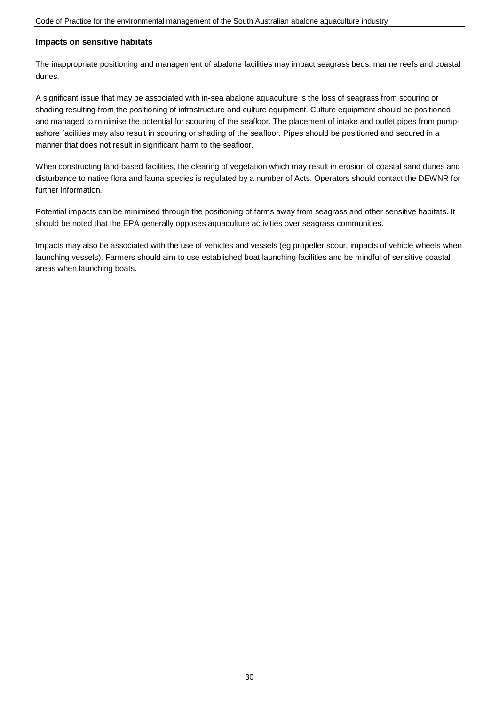#### **Impacts on sensitive habitats**

The inappropriate positioning and management of abalone facilities may impact seagrass beds, marine reefs and coastal dunes.

A significant issue that may be associated with in-sea abalone aquaculture is the loss of seagrass from scouring or shading resulting from the positioning of infrastructure and culture equipment. Culture equipment should be positioned and managed to minimise the potential for scouring of the seafloor. The placement of intake and outlet pipes from pumpashore facilities may also result in scouring or shading of the seafloor. Pipes should be positioned and secured in a manner that does not result in significant harm to the seafloor.

When constructing land-based facilities, the clearing of vegetation which may result in erosion of coastal sand dunes and disturbance to native flora and fauna species is regulated by a number of Acts. Operators should contact the DEWNR for further information.

Potential impacts can be minimised through the positioning of farms away from seagrass and other sensitive habitats. It should be noted that the EPA generally opposes aquaculture activities over seagrass communities.

Impacts may also be associated with the use of vehicles and vessels (eg propeller scour, impacts of vehicle wheels when launching vessels). Farmers should aim to use established boat launching facilities and be mindful of sensitive coastal areas when launching boats.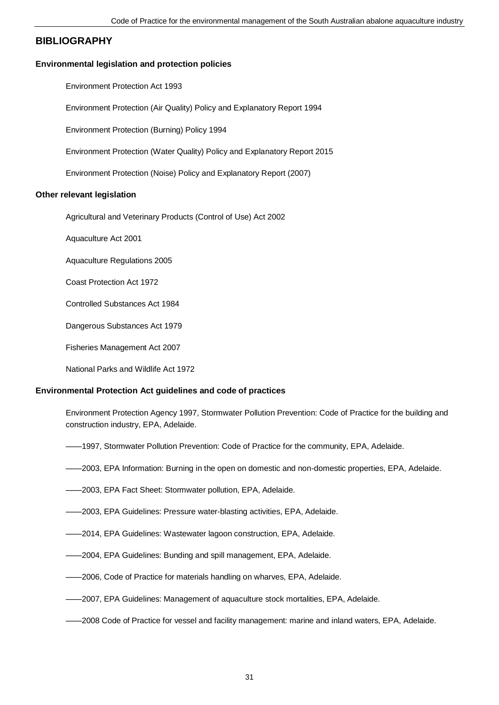### **BIBLIOGRAPHY**

#### **Environmental legislation and protection policies**

Environment Protection Act 1993

Environment Protection (Air Quality) Policy and Explanatory Report 1994

Environment Protection (Burning) Policy 1994

Environment Protection (Water Quality) Policy and Explanatory Report 2015

Environment Protection (Noise) Policy and Explanatory Report (2007)

#### **Other relevant legislation**

Agricultural and Veterinary Products (Control of Use) Act 2002

Aquaculture Act 2001

Aquaculture Regulations 2005

Coast Protection Act 1972

Controlled Substances Act 1984

Dangerous Substances Act 1979

Fisheries Management Act 2007

National Parks and Wildlife Act 1972

### **Environmental Protection Act guidelines and code of practices**

Environment Protection Agency 1997, Stormwater Pollution Prevention: Code of Practice for the building and construction industry, EPA, Adelaide.

- ——1997, Stormwater Pollution Prevention: Code of Practice for the community, EPA, Adelaide.
- ——2003, EPA Information: Burning in the open on domestic and non-domestic properties, EPA, Adelaide.
- ——2003, EPA Fact Sheet: Stormwater pollution, EPA, Adelaide.
- ——2003, EPA Guidelines: Pressure water-blasting activities, EPA, Adelaide.
- ——2014, EPA Guidelines: Wastewater lagoon construction, EPA, Adelaide.
- ——2004, EPA Guidelines: Bunding and spill management, EPA, Adelaide.
- ——2006, Code of Practice for materials handling on wharves, EPA, Adelaide.
- ——2007, EPA Guidelines: Management of aquaculture stock mortalities, EPA, Adelaide.
- ——2008 Code of Practice for vessel and facility management: marine and inland waters, EPA, Adelaide.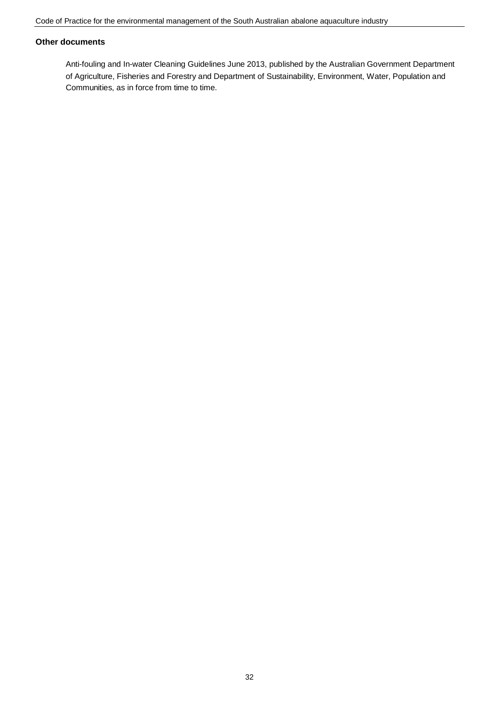### **Other documents**

Anti-fouling and In-water Cleaning Guidelines June 2013, published by the Australian Government Department of Agriculture, Fisheries and Forestry and Department of Sustainability, Environment, Water, Population and Communities, as in force from time to time.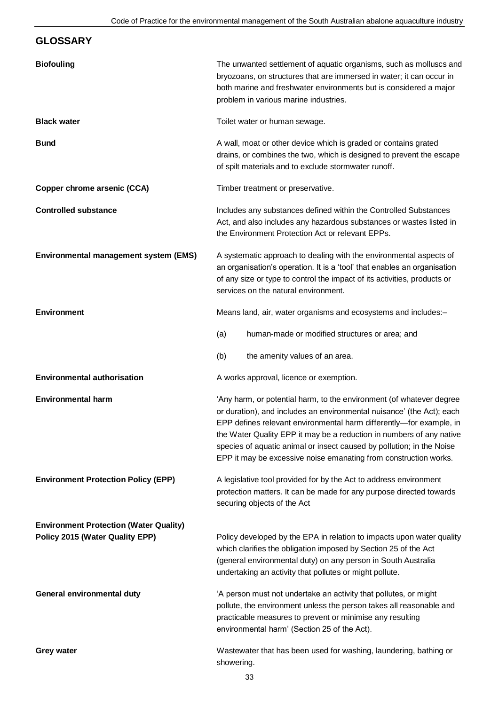# **GLOSSARY Biofouling** The unwanted settlement of aquatic organisms, such as molluscs and bryozoans, on structures that are immersed in water; it can occur in both marine and freshwater environments but is considered a major problem in various marine industries. **Black water Black water Toilet water** or human sewage. **Bund Bund A** wall, moat or other device which is graded or contains grated drains, or combines the two, which is designed to prevent the escape of spilt materials and to exclude stormwater runoff. **Copper chrome arsenic (CCA)** Timber treatment or preservative. **Controlled substance Includes any substances defined within the Controlled Substances** Act, and also includes any hazardous substances or wastes listed in the Environment Protection Act or relevant EPPs. **Environmental management system (EMS)** A systematic approach to dealing with the environmental aspects of an organisation's operation. It is a 'tool' that enables an organisation of any size or type to control the impact of its activities, products or services on the natural environment. **Environment** Environment Means land, air, water organisms and ecosystems and includes:-(a) human-made or modified structures or area; and (b) the amenity values of an area. **Environmental authorisation** A works approval, licence or exemption. **Environmental harm**  $\qquad \qquad \qquad$  'Any harm, or potential harm, to the environment (of whatever degree or duration), and includes an environmental nuisance' (the Act); each EPP defines relevant environmental harm differently—for example, in the Water Quality EPP it may be a reduction in numbers of any native species of aquatic animal or insect caused by pollution; in the Noise EPP it may be excessive noise emanating from construction works. **Environment Protection Policy (EPP)** A legislative tool provided for by the Act to address environment protection matters. It can be made for any purpose directed towards securing objects of the Act **Environment Protection (Water Quality) Policy 2015 (Water Quality EPP)** Policy developed by the EPA in relation to impacts upon water quality which clarifies the obligation imposed by Section 25 of the Act (general environmental duty) on any person in South Australia undertaking an activity that pollutes or might pollute. **General environmental duty**  $A$  person must not undertake an activity that pollutes, or might pollute, the environment unless the person takes all reasonable and practicable measures to prevent or minimise any resulting environmental harm' (Section 25 of the Act). **Grey water Wastewater that has been used for washing, laundering, bathing or Wastewater that has been used for washing, laundering, bathing or** showering.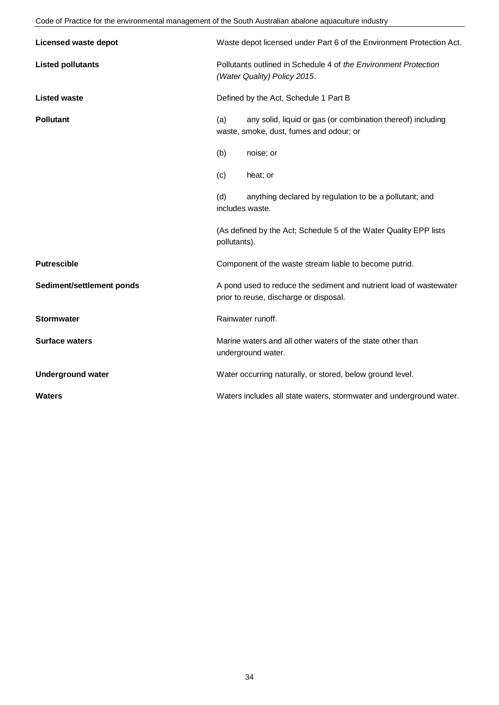### Code of Practice for the environmental management of the South Australian abalone aquaculture industry

| <b>Licensed waste depot</b> | Waste depot licensed under Part 6 of the Environment Protection Act.                                          |
|-----------------------------|---------------------------------------------------------------------------------------------------------------|
| <b>Listed pollutants</b>    | Pollutants outlined in Schedule 4 of the Environment Protection<br>(Water Quality) Policy 2015.               |
| <b>Listed waste</b>         | Defined by the Act, Schedule 1 Part B                                                                         |
| <b>Pollutant</b>            | any solid, liquid or gas (or combination thereof) including<br>(a)<br>waste, smoke, dust, fumes and odour; or |
|                             | (b)<br>noise; or                                                                                              |
|                             | (c)<br>heat; or                                                                                               |
|                             | (d)<br>anything declared by regulation to be a pollutant; and<br>includes waste.                              |
|                             | (As defined by the Act; Schedule 5 of the Water Quality EPP lists<br>pollutants).                             |
| <b>Putrescible</b>          | Component of the waste stream liable to become putrid.                                                        |
| Sediment/settlement ponds   | A pond used to reduce the sediment and nutrient load of wastewater<br>prior to reuse, discharge or disposal.  |
| <b>Stormwater</b>           | Rainwater runoff.                                                                                             |
| <b>Surface waters</b>       | Marine waters and all other waters of the state other than<br>underground water.                              |
| <b>Underground water</b>    | Water occurring naturally, or stored, below ground level.                                                     |
| <b>Waters</b>               | Waters includes all state waters, stormwater and underground water.                                           |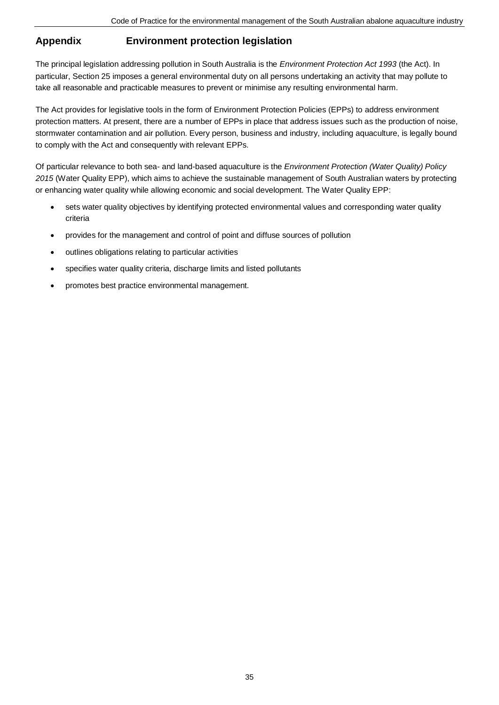# **Appendix Environment protection legislation**

The principal legislation addressing pollution in South Australia is the *Environment Protection Act 1993* (the Act). In particular, Section 25 imposes a general environmental duty on all persons undertaking an activity that may pollute to take all reasonable and practicable measures to prevent or minimise any resulting environmental harm.

The Act provides for legislative tools in the form of Environment Protection Policies (EPPs) to address environment protection matters. At present, there are a number of EPPs in place that address issues such as the production of noise, stormwater contamination and air pollution. Every person, business and industry, including aquaculture, is legally bound to comply with the Act and consequently with relevant EPPs.

Of particular relevance to both sea- and land-based aquaculture is the *Environment Protection (Water Quality) Policy 2015* (Water Quality EPP), which aims to achieve the sustainable management of South Australian waters by protecting or enhancing water quality while allowing economic and social development. The Water Quality EPP:

- sets water quality objectives by identifying protected environmental values and corresponding water quality criteria
- provides for the management and control of point and diffuse sources of pollution
- outlines obligations relating to particular activities
- specifies water quality criteria, discharge limits and listed pollutants
- promotes best practice environmental management.